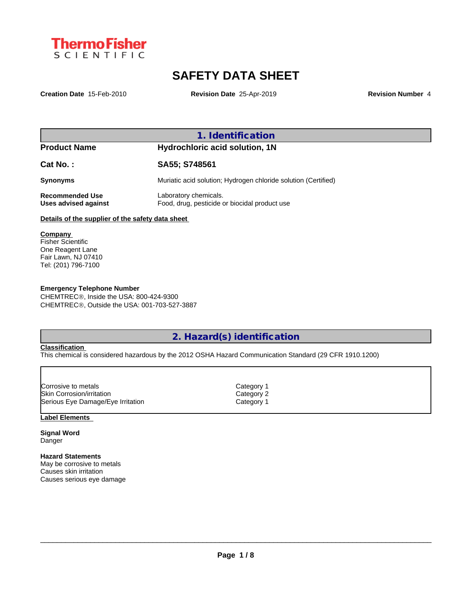

# **SAFETY DATA SHEET**

**Creation Date** 15-Feb-2010 **Revision Date** 25-Apr-2019 **Revision Number** 4

| <b>Product Name</b>                              | Hydrochloric acid solution, 1N                                         |  |
|--------------------------------------------------|------------------------------------------------------------------------|--|
| Cat No.:                                         | SA55; S748561                                                          |  |
| <b>Synonyms</b>                                  | Muriatic acid solution; Hydrogen chloride solution (Certified)         |  |
| <b>Recommended Use</b><br>Uses advised against   | Laboratory chemicals.<br>Food, drug, pesticide or biocidal product use |  |
| Details of the supplier of the safety data sheet |                                                                        |  |

**Company**  Fisher Scientific One Reagent Lane Fair Lawn, NJ 07410 Tel: (201) 796-7100

## **Emergency Telephone Number**

CHEMTREC®, Inside the USA: 800-424-9300 CHEMTREC®, Outside the USA: 001-703-527-3887

**2. Hazard(s) identification**

## **Classification**

This chemical is considered hazardous by the 2012 OSHA Hazard Communication Standard (29 CFR 1910.1200)

Skin Corrosion/irritation Category 2 Serious Eye Damage/Eye Irritation Category 1 Corrosive to metals **Corrosition** Category 1

**Label Elements**

**Signal Word** Danger

## **Hazard Statements**

May be corrosive to metals Causes skin irritation Causes serious eye damage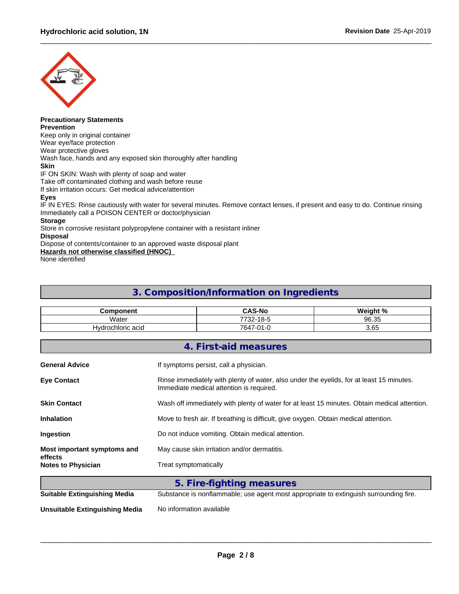

#### **Precautionary Statements Prevention**

Keep only in original container Wear eye/face protection Wear protective gloves Wash face, hands and any exposed skin thoroughly after handling **Skin** IF ON SKIN: Wash with plenty of soap and water Take off contaminated clothing and wash before reuse If skin irritation occurs: Get medical advice/attention **Eyes** IF IN EYES: Rinse cautiously with water for several minutes. Remove contact lenses, if present and easy to do. Continue rinsing Immediately call a POISON CENTER or doctor/physician

# **Storage**

Store in corrosive resistant polypropylene container with a resistant inliner

# **Disposal**

Dispose of contents/container to an approved waste disposal plant

**Hazards not otherwise classified (HNOC)**

None identified

# **3. Composition/Information on Ingredients**

| Component        | <b>CAS-No</b>                               | Weight % |
|------------------|---------------------------------------------|----------|
| Water            | $\sim$ $\sim$<br>770c<br>ີ<br>-22 -<br>כ-סו | 96.35    |
| Vorochloric acid | 764,<br>$\sim$<br>ט-ו ∪י                    | 3.65     |

|                                      | 4. First-aid measures                                                                                                                |  |  |  |  |
|--------------------------------------|--------------------------------------------------------------------------------------------------------------------------------------|--|--|--|--|
| <b>General Advice</b>                | If symptoms persist, call a physician.                                                                                               |  |  |  |  |
| <b>Eye Contact</b>                   | Rinse immediately with plenty of water, also under the eyelids, for at least 15 minutes.<br>Immediate medical attention is required. |  |  |  |  |
| <b>Skin Contact</b>                  | Wash off immediately with plenty of water for at least 15 minutes. Obtain medical attention.                                         |  |  |  |  |
| <b>Inhalation</b>                    | Move to fresh air. If breathing is difficult, give oxygen. Obtain medical attention.                                                 |  |  |  |  |
| <b>Ingestion</b>                     | Do not induce vomiting. Obtain medical attention.                                                                                    |  |  |  |  |
| Most important symptoms and          | May cause skin irritation and/or dermatitis.                                                                                         |  |  |  |  |
| effects<br><b>Notes to Physician</b> | Treat symptomatically                                                                                                                |  |  |  |  |
|                                      |                                                                                                                                      |  |  |  |  |

|                                     | 5. Fire-fighting measures                                                             |
|-------------------------------------|---------------------------------------------------------------------------------------|
| <b>Suitable Extinguishing Media</b> | Substance is nonflammable; use agent most appropriate to extinguish surrounding fire. |
| Unsuitable Extinguishing Media      | No information available                                                              |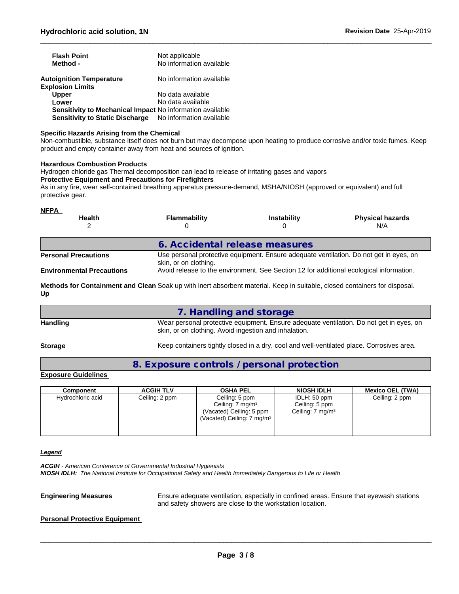| <b>Flash Point</b><br>Method -                                  | Not applicable<br>No information available |
|-----------------------------------------------------------------|--------------------------------------------|
| <b>Autoignition Temperature</b><br><b>Explosion Limits</b>      | No information available                   |
| <b>Upper</b>                                                    | No data available                          |
| Lower                                                           | No data available                          |
| Sensitivity to Mechanical Impact No information available       |                                            |
| <b>Sensitivity to Static Discharge</b> No information available |                                            |

#### **Specific Hazards Arising from the Chemical**

Non-combustible, substance itself does not burn but may decompose upon heating to produce corrosive and/or toxic fumes. Keep product and empty container away from heat and sources of ignition.

#### **Hazardous Combustion Products**

Hydrogen chloride gas Thermal decomposition can lead to release of irritating gases and vapors **Protective Equipment and Precautions for Firefighters** As in any fire, wear self-contained breathing apparatus pressure-demand, MSHA/NIOSH (approved or equivalent) and full

protective gear.

## **NFPA**

| <b>Health</b>                    | <b>Flammability</b>                                                                                             | <b>Instability</b>                                                                      | <b>Physical hazards</b><br>N/A |  |  |
|----------------------------------|-----------------------------------------------------------------------------------------------------------------|-----------------------------------------------------------------------------------------|--------------------------------|--|--|
|                                  | 6. Accidental release measures                                                                                  |                                                                                         |                                |  |  |
| <b>Personal Precautions</b>      | Use personal protective equipment. Ensure adequate ventilation. Do not get in eyes, on<br>skin, or on clothing. |                                                                                         |                                |  |  |
| <b>Environmental Precautions</b> |                                                                                                                 | Avoid release to the environment. See Section 12 for additional ecological information. |                                |  |  |

**Methods for Containment and Clean** Soak up with inert absorbent material. Keep in suitable, closed containers for disposal. **Up**

|                 | 7. Handling and storage                                                                                                                          |
|-----------------|--------------------------------------------------------------------------------------------------------------------------------------------------|
| <b>Handling</b> | Wear personal protective equipment. Ensure adequate ventilation. Do not get in eyes, on<br>skin, or on clothing. Avoid ingestion and inhalation. |

Storage **Keep containers tightly closed in a dry, cool and well-ventilated place. Corrosives area.** 

# **8. Exposure controls / personal protection**

# **Exposure Guidelines**

| Component         | <b>ACGIH TLV</b> | <b>OSHA PEL</b>                                                                                                    | <b>NIOSH IDLH</b>                                              | <b>Mexico OEL (TWA)</b> |
|-------------------|------------------|--------------------------------------------------------------------------------------------------------------------|----------------------------------------------------------------|-------------------------|
| Hydrochloric acid | Ceiling: 2 ppm   | Ceiling: 5 ppm<br>Ceiling: $7 \text{ mg/m}^3$<br>(Vacated) Ceiling: 5 ppm<br>(Vacated) Ceiling: $7 \text{ mg/m}^3$ | IDLH: 50 ppm<br>Ceiling: 5 ppm<br>Ceiling: 7 mg/m <sup>3</sup> | Ceiling: 2 ppm          |

#### *Legend*

*ACGIH - American Conference of Governmental Industrial Hygienists NIOSH IDLH: The National Institute for Occupational Safety and Health Immediately Dangerous to Life or Health*

**Engineering Measures** Ensure adequate ventilation, especially in confined areas. Ensure that eyewash stations and safety showers are close to the workstation location.

 $\_$  ,  $\_$  ,  $\_$  ,  $\_$  ,  $\_$  ,  $\_$  ,  $\_$  ,  $\_$  ,  $\_$  ,  $\_$  ,  $\_$  ,  $\_$  ,  $\_$  ,  $\_$  ,  $\_$  ,  $\_$  ,  $\_$  ,  $\_$  ,  $\_$  ,  $\_$  ,  $\_$  ,  $\_$  ,  $\_$  ,  $\_$  ,  $\_$  ,  $\_$  ,  $\_$  ,  $\_$  ,  $\_$  ,  $\_$  ,  $\_$  ,  $\_$  ,  $\_$  ,  $\_$  ,  $\_$  ,  $\_$  ,  $\_$  ,

### **Personal Protective Equipment**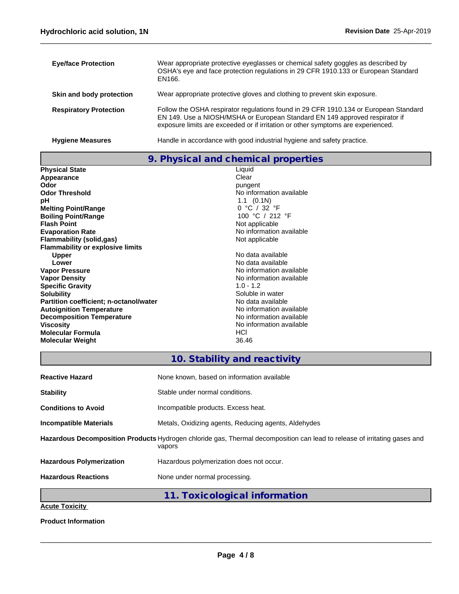| <b>Eye/face Protection</b>    | Wear appropriate protective eyeglasses or chemical safety goggles as described by<br>OSHA's eye and face protection regulations in 29 CFR 1910.133 or European Standard<br>EN166.                                                                       |
|-------------------------------|---------------------------------------------------------------------------------------------------------------------------------------------------------------------------------------------------------------------------------------------------------|
| Skin and body protection      | Wear appropriate protective gloves and clothing to prevent skin exposure.                                                                                                                                                                               |
| <b>Respiratory Protection</b> | Follow the OSHA respirator regulations found in 29 CFR 1910.134 or European Standard<br>EN 149. Use a NIOSH/MSHA or European Standard EN 149 approved respirator if<br>exposure limits are exceeded or if irritation or other symptoms are experienced. |
| <b>Hygiene Measures</b>       | Handle in accordance with good industrial hygiene and safety practice.                                                                                                                                                                                  |

**9. Physical and chemical properties**

| <b>Physical State</b>                   | Liquid                   |  |
|-----------------------------------------|--------------------------|--|
| Appearance                              | Clear                    |  |
| Odor                                    | pungent                  |  |
| <b>Odor Threshold</b>                   | No information available |  |
| рH                                      | $1.1 \quad (0.1N)$       |  |
| <b>Melting Point/Range</b>              | 0 °C / 32 °F             |  |
| <b>Boiling Point/Range</b>              | 100 °C / 212 °F          |  |
| <b>Flash Point</b>                      | Not applicable           |  |
| <b>Evaporation Rate</b>                 | No information available |  |
| <b>Flammability (solid,gas)</b>         | Not applicable           |  |
| <b>Flammability or explosive limits</b> |                          |  |
| <b>Upper</b>                            | No data available        |  |
| Lower                                   | No data available        |  |
| <b>Vapor Pressure</b>                   | No information available |  |
| <b>Vapor Density</b>                    | No information available |  |
| <b>Specific Gravity</b>                 | $1.0 - 1.2$              |  |
| <b>Solubility</b>                       | Soluble in water         |  |
| Partition coefficient; n-octanol/water  | No data available        |  |
| <b>Autoignition Temperature</b>         | No information available |  |
| <b>Decomposition Temperature</b>        | No information available |  |
| <b>Viscosity</b>                        | No information available |  |
| Molecular Formula                       | HCI                      |  |
| <b>Molecular Weight</b>                 | 36.46                    |  |
|                                         |                          |  |

# **10. Stability and reactivity**

| <b>Reactive Hazard</b>                                                                                                              | None known, based on information available           |  |  |  |  |
|-------------------------------------------------------------------------------------------------------------------------------------|------------------------------------------------------|--|--|--|--|
| <b>Stability</b>                                                                                                                    | Stable under normal conditions.                      |  |  |  |  |
| <b>Conditions to Avoid</b>                                                                                                          | Incompatible products. Excess heat.                  |  |  |  |  |
| <b>Incompatible Materials</b>                                                                                                       | Metals, Oxidizing agents, Reducing agents, Aldehydes |  |  |  |  |
| Hazardous Decomposition Products Hydrogen chloride gas, Thermal decomposition can lead to release of irritating gases and<br>vapors |                                                      |  |  |  |  |
| <b>Hazardous Polymerization</b>                                                                                                     | Hazardous polymerization does not occur.             |  |  |  |  |
| <b>Hazardous Reactions</b>                                                                                                          | None under normal processing.                        |  |  |  |  |
|                                                                                                                                     | 11. Toxicological information                        |  |  |  |  |
| Acute Tovicity                                                                                                                      |                                                      |  |  |  |  |

**Acute Toxicity**

**Product Information**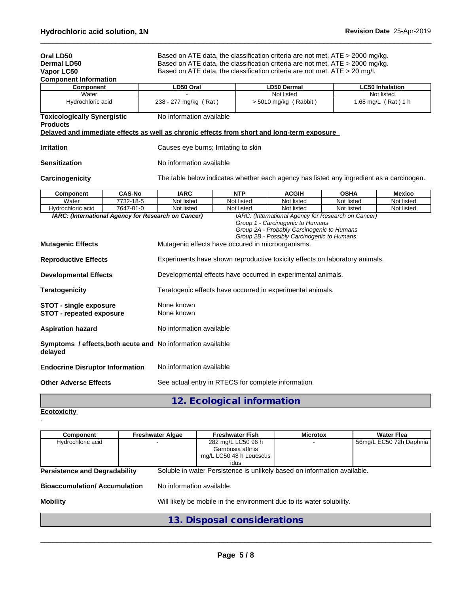| Oral LD50<br>Dermal LD50                                                                     |                                                                                          | Based on ATE data, the classification criteria are not met. ATE > 2000 mg/kg.<br>Based on ATE data, the classification criteria are not met. ATE > 2000 mg/kg.                    |            |                       |             |                        |
|----------------------------------------------------------------------------------------------|------------------------------------------------------------------------------------------|-----------------------------------------------------------------------------------------------------------------------------------------------------------------------------------|------------|-----------------------|-------------|------------------------|
| Vapor LC50                                                                                   |                                                                                          | Based on ATE data, the classification criteria are not met. ATE > 20 mg/l.                                                                                                        |            |                       |             |                        |
| <b>Component Information</b>                                                                 |                                                                                          |                                                                                                                                                                                   |            |                       |             |                        |
| Component                                                                                    |                                                                                          | LD50 Oral                                                                                                                                                                         |            | LD50 Dermal           |             | <b>LC50 Inhalation</b> |
| Water                                                                                        |                                                                                          |                                                                                                                                                                                   |            | Not listed            |             | Not listed             |
| Hydrochloric acid                                                                            |                                                                                          | 238 - 277 mg/kg (Rat)                                                                                                                                                             |            | > 5010 mg/kg (Rabbit) |             | 1.68 mg/L (Rat) 1 h    |
| <b>Toxicologically Synergistic</b><br><b>Products</b>                                        |                                                                                          | No information available                                                                                                                                                          |            |                       |             |                        |
| Delayed and immediate effects as well as chronic effects from short and long-term exposure   |                                                                                          |                                                                                                                                                                                   |            |                       |             |                        |
| <b>Irritation</b>                                                                            |                                                                                          | Causes eye burns; Irritating to skin                                                                                                                                              |            |                       |             |                        |
| Sensitization                                                                                |                                                                                          | No information available                                                                                                                                                          |            |                       |             |                        |
| <b>Carcinogenicity</b>                                                                       | The table below indicates whether each agency has listed any ingredient as a carcinogen. |                                                                                                                                                                                   |            |                       |             |                        |
| Component                                                                                    | <b>CAS-No</b>                                                                            | <b>IARC</b>                                                                                                                                                                       | <b>NTP</b> | <b>ACGIH</b>          | <b>OSHA</b> | <b>Mexico</b>          |
| Water                                                                                        | 7732-18-5                                                                                | Not listed                                                                                                                                                                        | Not listed | Not listed            | Not listed  | Not listed             |
| Hydrochloric acid                                                                            | 7647-01-0                                                                                | Not listed                                                                                                                                                                        | Not listed | Not listed            | Not listed  | Not listed             |
| <b>Mutagenic Effects</b>                                                                     |                                                                                          | Group 1 - Carcinogenic to Humans<br>Group 2A - Probably Carcinogenic to Humans<br>Group 2B - Possibly Carcinogenic to Humans<br>Mutagenic effects have occured in microorganisms. |            |                       |             |                        |
| <b>Reproductive Effects</b>                                                                  |                                                                                          | Experiments have shown reproductive toxicity effects on laboratory animals.                                                                                                       |            |                       |             |                        |
| <b>Developmental Effects</b>                                                                 |                                                                                          | Developmental effects have occurred in experimental animals.                                                                                                                      |            |                       |             |                        |
| <b>Teratogenicity</b>                                                                        |                                                                                          | Teratogenic effects have occurred in experimental animals.                                                                                                                        |            |                       |             |                        |
| None known<br><b>STOT - single exposure</b><br><b>STOT - repeated exposure</b><br>None known |                                                                                          |                                                                                                                                                                                   |            |                       |             |                        |
| <b>Aspiration hazard</b>                                                                     |                                                                                          | No information available                                                                                                                                                          |            |                       |             |                        |
| Symptoms / effects, both acute and No information available<br>delayed                       |                                                                                          |                                                                                                                                                                                   |            |                       |             |                        |
| <b>Endocrine Disruptor Information</b>                                                       |                                                                                          | No information available                                                                                                                                                          |            |                       |             |                        |
| <b>Other Adverse Effects</b>                                                                 |                                                                                          | See actual entry in RTECS for complete information.                                                                                                                               |            |                       |             |                        |

| 12. Ecological information |  |
|----------------------------|--|
|----------------------------|--|

#### **Ecotoxicity**  .

| Component                            | <b>Freshwater Algae</b> |                           | <b>Freshwater Fish</b>                                                   | <b>Microtox</b> | <b>Water Flea</b>       |
|--------------------------------------|-------------------------|---------------------------|--------------------------------------------------------------------------|-----------------|-------------------------|
| Hydrochloric acid                    |                         |                           | 282 mg/L LC50 96 h                                                       |                 | 56mg/L EC50 72h Daphnia |
|                                      |                         |                           | Gambusia affinis                                                         |                 |                         |
|                                      |                         |                           | mg/L LC50 48 h Leucscus                                                  |                 |                         |
|                                      |                         |                           | idus                                                                     |                 |                         |
| <b>Persistence and Degradability</b> |                         |                           | Soluble in water Persistence is unlikely based on information available. |                 |                         |
|                                      |                         |                           |                                                                          |                 |                         |
| <b>Bioaccumulation/Accumulation</b>  |                         | No information available. |                                                                          |                 |                         |
|                                      |                         |                           |                                                                          |                 |                         |
| <b>Mobility</b>                      |                         |                           | Will likely be mobile in the environment due to its water solubility.    |                 |                         |
|                                      |                         |                           |                                                                          |                 |                         |
|                                      |                         |                           | 13. Disposal considerations                                              |                 |                         |
|                                      |                         |                           |                                                                          |                 |                         |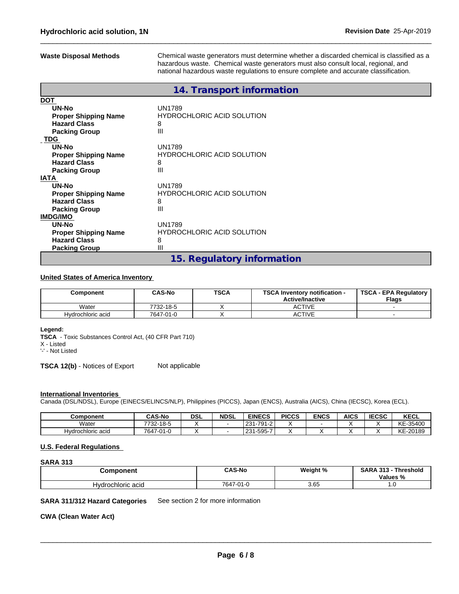**Waste Disposal Methods** Chemical waste generators must determine whether a discarded chemical is classified as a hazardous waste. Chemical waste generators must also consult local, regional, and national hazardous waste regulations to ensure complete and accurate classification.

|                             | 14. Transport information         |
|-----------------------------|-----------------------------------|
| <b>DOT</b>                  |                                   |
| UN-No                       | <b>UN1789</b>                     |
| <b>Proper Shipping Name</b> | <b>HYDROCHLORIC ACID SOLUTION</b> |
| <b>Hazard Class</b>         | 8                                 |
| <b>Packing Group</b>        | Ш                                 |
| TDG                         |                                   |
| UN-No                       | <b>UN1789</b>                     |
| <b>Proper Shipping Name</b> | <b>HYDROCHLORIC ACID SOLUTION</b> |
| <b>Hazard Class</b>         | 8                                 |
| <b>Packing Group</b>        | Ш                                 |
| <b>IATA</b>                 |                                   |
| UN-No                       | UN1789                            |
| <b>Proper Shipping Name</b> | <b>HYDROCHLORIC ACID SOLUTION</b> |
| <b>Hazard Class</b>         | 8                                 |
| <b>Packing Group</b>        | Ш                                 |
| <b>IMDG/IMO</b>             |                                   |
| UN-No                       | UN1789                            |
| <b>Proper Shipping Name</b> | <b>HYDROCHLORIC ACID SOLUTION</b> |
| <b>Hazard Class</b>         | 8                                 |
| <b>Packing Group</b>        | Ш                                 |
|                             | 15. Regulatory information        |

## **United States of America Inventory**

| Component         | <b>CAS-No</b> | <b>TSCA</b> | <b>TSCA Inventory notification -</b><br><b>Active/Inactive</b> | <b>TSCA - EPA Regulatory</b><br><b>Flags</b> |
|-------------------|---------------|-------------|----------------------------------------------------------------|----------------------------------------------|
| Water             | 7732-18-5     |             | <b>ACTIVE</b>                                                  |                                              |
| Hydrochloric acid | 7647-01-0     |             | <b>ACTIVE</b>                                                  |                                              |

#### **Legend:**

**TSCA** - Toxic Substances Control Act, (40 CFR Part 710) X - Listed '-' - Not Listed

**TSCA 12(b)** - Notices of Export Not applicable

#### **International Inventories**

Canada (DSL/NDSL), Europe (EINECS/ELINCS/NLP), Philippines (PICCS), Japan (ENCS), Australia (AICS), China (IECSC), Korea (ECL).

| Component         | ົAS-No          | <b>DSL</b> | <b>NDSL</b> | <b>EINECS</b>                     | <b>PICCS</b> | <b>ENCS</b> | <b>AICS</b> | <b>IECSC</b> | <b>KECL</b>     |
|-------------------|-----------------|------------|-------------|-----------------------------------|--------------|-------------|-------------|--------------|-----------------|
| Water             | 7732-18-5       |            |             | 701<br>221<br>-791-2<br>. .<br>ںے |              |             |             |              | KE-<br>$-35400$ |
| Hydrochloric acid | 7647-01<br>'1∹U |            |             | 1.505.7<br>221<br>ں ے<br>ົບວບ     |              |             |             |              | KE-20189        |

#### **U.S. Federal Regulations**

# **SARA 313**

| Component         | <b>CAS-No</b>   | Weight % | <b>SARA 313</b><br><b>Threshold</b><br>$\sim$<br><b>Values</b><br>70 |  |
|-------------------|-----------------|----------|----------------------------------------------------------------------|--|
| Hydrochloric acid | 7647-01<br>ч-н. | 3.65     | $\cdot \cdot \circ$                                                  |  |

#### **SARA 311/312 Hazard Categories** See section 2 for more information

### **CWA** (Clean Water Act)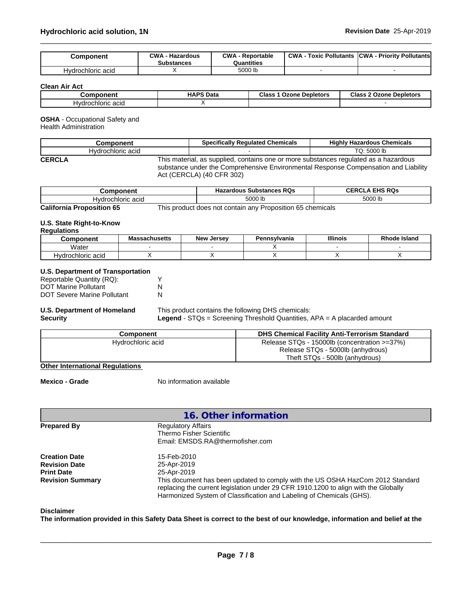| Component         | $\sim$ M/A<br>Hazardous<br><b>Substances</b> | CWA<br>Reportable<br>Quantities | <b>CWA</b><br>: Pollutants<br>Toxic | <b>ICWA</b><br>- Priority Pollutants |
|-------------------|----------------------------------------------|---------------------------------|-------------------------------------|--------------------------------------|
| Hydrochloric acid |                                              | 5000 lb                         |                                     |                                      |

**Clean Air Act**

| ------<br>.nr                        | <b>HAPS</b><br>Data | Class<br><b>Depletors</b><br>Ozone | Clas:<br><b>Depletors</b><br>----<br>zone<br>- Je |
|--------------------------------------|---------------------|------------------------------------|---------------------------------------------------|
| 'dr.<br>יימ<br>hioric.<br>וער<br>auu |                     |                                    |                                                   |

# **OSHA** - Occupational Safety and

Health Administration

|               | Component         | <b>Specifically Regulated Chemicals</b>                                                                                                                                                                  | <b>Highly Hazardous Chemicals</b> |
|---------------|-------------------|----------------------------------------------------------------------------------------------------------------------------------------------------------------------------------------------------------|-----------------------------------|
|               | Hydrochloric acid |                                                                                                                                                                                                          | TQ: 5000 lb                       |
| <b>CERCLA</b> |                   | This material, as supplied, contains one or more substances regulated as a hazardous<br>substance under the Comprehensive Environmental Response Compensation and Liability<br>Act (CERCLA) (40 CFR 302) |                                   |

| ,mnanant<br>⊶om<br>nem                                                     | <b>Substances RQs</b><br><b>Hazardous</b> | FHS RQs<br>$\sim$ $\sim$<br>.<br>UE |
|----------------------------------------------------------------------------|-------------------------------------------|-------------------------------------|
| chloric<br>ว acıฉ<br>'⊣vdr.                                                | 5000 lb                                   | 5000 lb                             |
| $\overline{\phantom{a}}$<br>- ---<br>$ -$<br>$\overline{\phantom{a}}$<br>. | $\sim$ $-$<br>$\cdots$<br>-               |                                     |

**California Proposition 65** This product does not contain any Proposition 65 chemicals

#### **U.S. State Right-to-Know Regulations**

| nvuununviiv      |                      |                      |              |                 |                     |
|------------------|----------------------|----------------------|--------------|-----------------|---------------------|
| <b>:omponent</b> | <b>Massachusetts</b> | Jersev<br><b>New</b> | Pennsvlvania | <b>Illinois</b> | <b>Rhode Island</b> |
| 'Vater           |                      |                      |              |                 |                     |
| drochloric acid/ |                      |                      |              |                 |                     |

# **U.S. Department of Transportation**

| Reportable Quantity (RQ):   |   |
|-----------------------------|---|
| <b>DOT Marine Pollutant</b> |   |
| DOT Severe Marine Pollutant | N |

#### **U.S. Department of Homeland Security**

### This product contains the following DHS chemicals: **Legend** - STQs = Screening Threshold Quantities, APA = A placarded amount

| Component         | <b>DHS Chemical Facility Anti-Terrorism Standard</b> |
|-------------------|------------------------------------------------------|
| Hydrochloric acid | Release STQs - 15000lb (concentration >=37%)         |
|                   | Release STQs - 5000lb (anhydrous)                    |
|                   | Theft STQs - 500lb (anhydrous)                       |

## **Other International Regulations**

**Mexico - Grade** No information available

| 16. Other information   |                                                                                                                                                                                                                                               |
|-------------------------|-----------------------------------------------------------------------------------------------------------------------------------------------------------------------------------------------------------------------------------------------|
| <b>Prepared By</b>      | <b>Regulatory Affairs</b><br>Thermo Fisher Scientific<br>Email: EMSDS.RA@thermofisher.com                                                                                                                                                     |
| <b>Creation Date</b>    | 15-Feb-2010                                                                                                                                                                                                                                   |
| <b>Revision Date</b>    | 25-Apr-2019                                                                                                                                                                                                                                   |
| <b>Print Date</b>       | 25-Apr-2019                                                                                                                                                                                                                                   |
| <b>Revision Summary</b> | This document has been updated to comply with the US OSHA HazCom 2012 Standard<br>replacing the current legislation under 29 CFR 1910.1200 to align with the Globally<br>Harmonized System of Classification and Labeling of Chemicals (GHS). |

### **Disclaimer**

The information provided in this Safety Data Sheet is correct to the best of our knowledge, information and belief at the